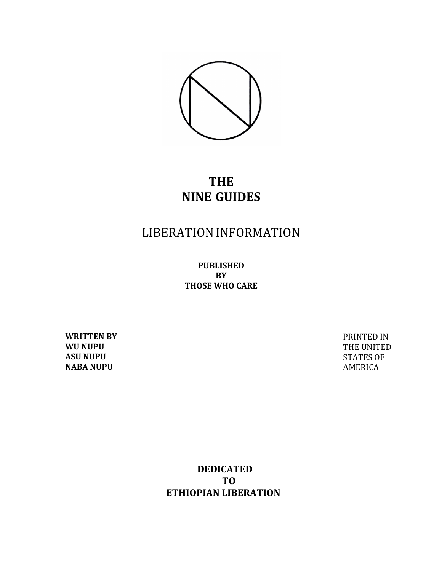

# **THE NINE GUIDES**

# LIBERATIONINFORMATION

**PUBLISHED BY THOSE WHO CARE**

**WRITTEN BY WU NUPU ASU NUPU NABA NUPU** 

PRINTED IN THE UNITED **STATES OF** AMERICA

 **DEDICATED TO ETHIOPIAN LIBERATION**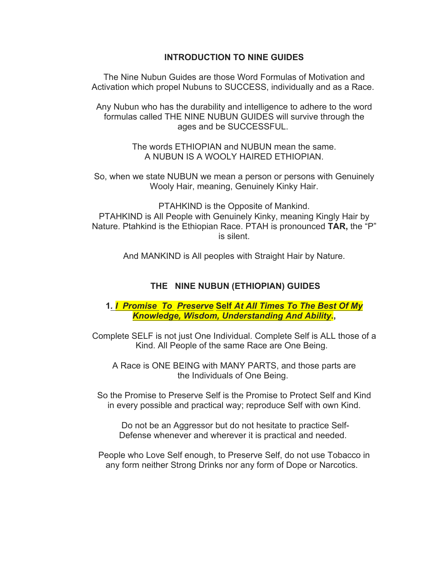# **INTRODUCTION TO NINE GUIDES**

The Nine Nubun Guides are those Word Formulas of Motivation and Activation which propel Nubuns to SUCCESS, individually and as a Race.

Any Nubun who has the durability and intelligence to adhere to the word formulas called THE NINE NUBUN GUIDES will survive through the ages and be SUCCESSFUL.

> The words ETHIOPIAN and NUBUN mean the same. A NUBUN IS A WOOLY HAIRED ETHIOPIAN.

So, when we state NUBUN we mean a person or persons with Genuinely Wooly Hair, meaning, Genuinely Kinky Hair.

PTAHKIND is the Opposite of Mankind. PTAHKIND is All People with Genuinely Kinky, meaning Kingly Hair by Nature. Ptahkind is the Ethiopian Race. PTAH is pronounced **TAR,** the "P" is silent.

And MANKIND is All peoples with Straight Hair by Nature.

# **THE NINE NUBUN (ETHIOPIAN) GUIDES**

# **1***. I Promise To Preserve* **Self** *At All Times To The Best Of My Knowledge, Wisdom, Understanding And Ability***.,**

Complete SELF is not just One Individual. Complete Self is ALL those of a Kind. All People of the same Race are One Being.

A Race is ONE BEING with MANY PARTS, and those parts are the Individuals of One Being.

So the Promise to Preserve Self is the Promise to Protect Self and Kind in every possible and practical way; reproduce Self with own Kind.

Do not be an Aggressor but do not hesitate to practice Self-Defense whenever and wherever it is practical and needed.

People who Love Self enough, to Preserve Self, do not use Tobacco in any form neither Strong Drinks nor any form of Dope or Narcotics.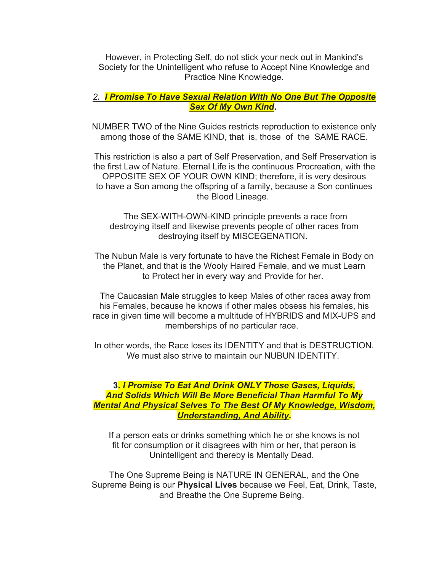However, in Protecting Self, do not stick your neck out in Mankind's Society for the Unintelligent who refuse to Accept Nine Knowledge and Practice Nine Knowledge.

# *2. I Promise To Have Sexual Relation With No One But The Opposite Sex Of My Own Kind***.**

NUMBER TWO of the Nine Guides restricts reproduction to existence only among those of the SAME KIND, that is, those of the SAME RACE.

This restriction is also a part of Self Preservation, and Self Preservation is the first Law of Nature. Eternal Life is the continuous Procreation, with the OPPOSITE SEX OF YOUR OWN KIND; therefore, it is very desirous to have a Son among the offspring of a family, because a Son continues the Blood Lineage.

The SEX-WITH-OWN-KIND principle prevents a race from destroying itself and likewise prevents people of other races from destroying itself by MISCEGENATION.

The Nubun Male is very fortunate to have the Richest Female in Body on the Planet, and that is the Wooly Haired Female, and we must Learn to Protect her in every way and Provide for her.

The Caucasian Male struggles to keep Males of other races away from his Females, because he knows if other males obsess his females, his race in given time will become a multitude of HYBRIDS and MIX-UPS and memberships of no particular race.

In other words, the Race loses its IDENTITY and that is DESTRUCTION. We must also strive to maintain our NUBUN IDENTITY

# **3.** *I Promise To Eat And Drink ONLY Those Gases, Liquids, And Solids Which Will Be More Beneficial Than Harmful To My Mental And Physical Selves To The Best Of My Knowledge, Wisdom, Understanding, And Ability***.**

If a person eats or drinks something which he or she knows is not fit for consumption or it disagrees with him or her, that person is Unintelligent and thereby is Mentally Dead.

The One Supreme Being is NATURE IN GENERAL, and the One Supreme Being is our **Physical Lives** because we Feel, Eat, Drink, Taste, and Breathe the One Supreme Being.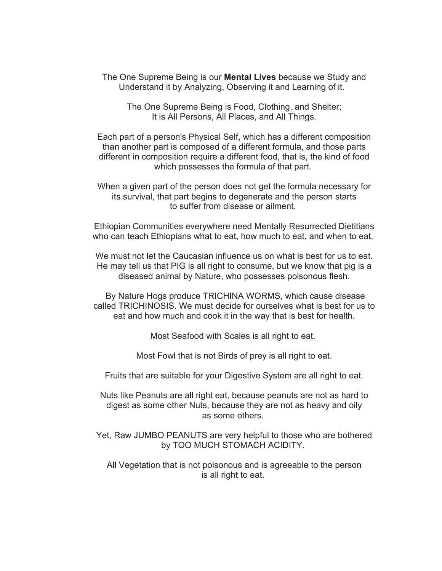The One Supreme Being is our **Mental Lives** because we Study and Understand it by Analyzing, Observing it and Learning of it.

The One Supreme Being is Food, Clothing, and Shelter; It is All Persons, All Places, and All Things.

Each part of a person's Physical Self, which has a different composition than another part is composed of a different formula, and those parts different in composition require a different food, that is, the kind of food which possesses the formula of that part.

When a given part of the person does not get the formula necessary for its survival, that part begins to degenerate and the person starts to suffer from disease or ailment.

Ethiopian Communities everywhere need Mentally Resurrected Dietitians who can teach Ethiopians what to eat, how much to eat, and when to eat.

We must not let the Caucasian influence us on what is best for us to eat. He may tell us that PIG is all right to consume, but we know that pig is a diseased animal by Nature, who possesses poisonous flesh.

By Nature Hogs produce TRICHINA WORMS, which cause disease called TRICHINOSIS. We must decide for ourselves what is best for us to eat and how much and cook it in the way that is best for health.

Most Seafood with Scales is all right to eat.

Most Fowl that is not Birds of prey is all right to eat.

Fruits that are suitable for your Digestive System are all right to eat.

Nuts like Peanuts are all right eat, because peanuts are not as hard to digest as some other Nuts, because they are not as heavy and oily as some others.

Yet, Raw JUMBO PEANUTS are very helpful to those who are bothered by TOO MUCH STOMACH ACIDITY.

All Vegetation that is not poisonous and is agreeable to the person is all right to eat.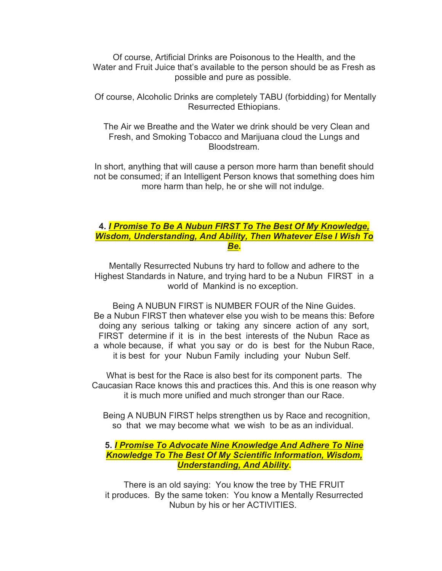Of course, Artificial Drinks are Poisonous to the Health, and the Water and Fruit Juice that's available to the person should be as Fresh as possible and pure as possible.

Of course, Alcoholic Drinks are completely TABU (forbidding) for Mentally Resurrected Ethiopians.

The Air we Breathe and the Water we drink should be very Clean and Fresh, and Smoking Tobacco and Marijuana cloud the Lungs and Bloodstream.

In short, anything that will cause a person more harm than benefit should not be consumed; if an Intelligent Person knows that something does him more harm than help, he or she will not indulge.

#### **4.** *I Promise To Be A Nubun FIRST To The Best Of My Knowledge, Wisdom, Understanding, And Ability, Then Whatever Else I Wish To Be***.**

Mentally Resurrected Nubuns try hard to follow and adhere to the Highest Standards in Nature, and trying hard to be a Nubun FIRST in a world of Mankind is no exception.

Being A NUBUN FIRST is NUMBER FOUR of the Nine Guides. Be a Nubun FIRST then whatever else you wish to be means this: Before doing any serious talking or taking any sincere action of any sort, FIRST determine if it is in the best interests of the Nubun Race as a whole because, if what you say or do is best for the Nubun Race, it is best for your Nubun Family including your Nubun Self.

What is best for the Race is also best for its component parts. The Caucasian Race knows this and practices this. And this is one reason why it is much more unified and much stronger than our Race.

Being A NUBUN FIRST helps strengthen us by Race and recognition, so that we may become what we wish to be as an individual.

# **5.** *I Promise To Advocate Nine Knowledge And Adhere To Nine Knowledge To The Best Of My Scientific Information, Wisdom, Understanding, And Ability***.**

There is an old saying: You know the tree by THE FRUIT it produces. By the same token: You know a Mentally Resurrected Nubun by his or her ACTIVITIES.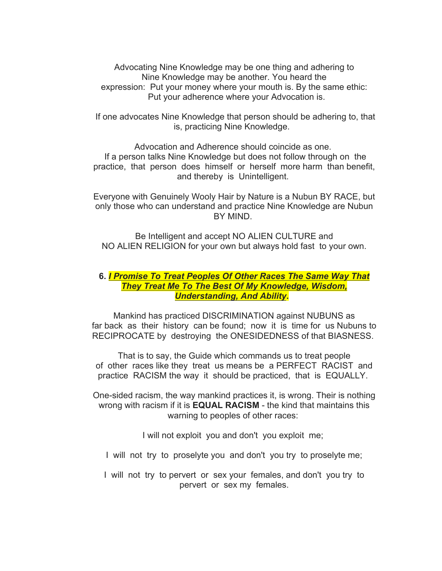Advocating Nine Knowledge may be one thing and adhering to Nine Knowledge may be another. You heard the expression: Put your money where your mouth is. By the same ethic: Put your adherence where your Advocation is.

If one advocates Nine Knowledge that person should be adhering to, that is, practicing Nine Knowledge.

Advocation and Adherence should coincide as one. If a person talks Nine Knowledge but does not follow through on the practice, that person does himself or herself more harm than benefit, and thereby is Unintelligent.

Everyone with Genuinely Wooly Hair by Nature is a Nubun BY RACE, but only those who can understand and practice Nine Knowledge are Nubun BY MIND.

Be Intelligent and accept NO ALIEN CULTURE and NO ALIEN RELIGION for your own but always hold fast to your own.

#### **6.** *I Promise To Treat Peoples Of Other Races The Same Way That They Treat Me To The Best Of My Knowledge, Wisdom, Understanding, And Ability***.**

Mankind has practiced DISCRIMINATION against NUBUNS as far back as their history can be found; now it is time for us Nubuns to RECIPROCATE by destroying the ONESIDEDNESS of that BIASNESS.

That is to say, the Guide which commands us to treat people of other races like they treat us means be a PERFECT RACIST and practice RACISM the way it should be practiced, that is EQUALLY.

One-sided racism, the way mankind practices it, is wrong. Their is nothing wrong with racism if it is **EQUAL RACISM** - the kind that maintains this warning to peoples of other races:

I will not exploit you and don't you exploit me;

I will not try to proselyte you and don't you try to proselyte me;

I will not try to pervert or sex your females, and don't you try to pervert or sex my females.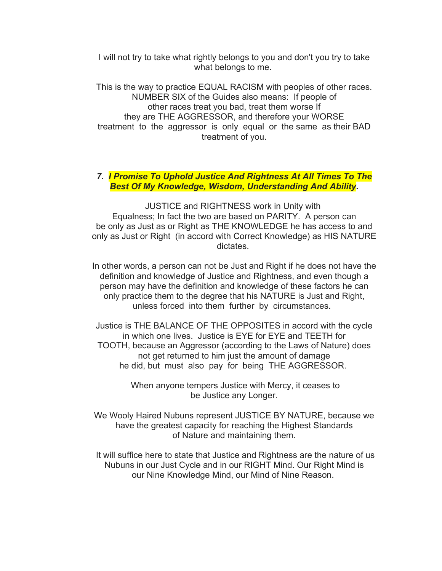I will not try to take what rightly belongs to you and don't you try to take what belongs to me.

This is the way to practice EQUAL RACISM with peoples of other races. NUMBER SIX of the Guides also means: If people of other races treat you bad, treat them worse If they are THE AGGRESSOR, and therefore your WORSE treatment to the aggressor is only equal or the same as their BAD treatment of you.

#### *7. I Promise To Uphold Justice And Rightness At All Times To The Best Of My Knowledge, Wisdom, Understanding And Ability.*

JUSTICE and RIGHTNESS work in Unity with Equalness; In fact the two are based on PARITY. A person can be only as Just as or Right as THE KNOWLEDGE he has access to and only as Just or Right (in accord with Correct Knowledge) as HIS NATURE dictates.

In other words, a person can not be Just and Right if he does not have the definition and knowledge of Justice and Rightness, and even though a person may have the definition and knowledge of these factors he can only practice them to the degree that his NATURE is Just and Right, unless forced into them further by circumstances.

Justice is THE BALANCE OF THE OPPOSITES in accord with the cycle in which one lives. Justice is EYE for EYE and TEETH for TOOTH, because an Aggressor (according to the Laws of Nature) does not get returned to him just the amount of damage he did, but must also pay for being THE AGGRESSOR.

> When anyone tempers Justice with Mercy, it ceases to be Justice any Longer.

We Wooly Haired Nubuns represent JUSTICE BY NATURE, because we have the greatest capacity for reaching the Highest Standards of Nature and maintaining them.

It will suffice here to state that Justice and Rightness are the nature of us Nubuns in our Just Cycle and in our RIGHT Mind. Our Right Mind is our Nine Knowledge Mind, our Mind of Nine Reason.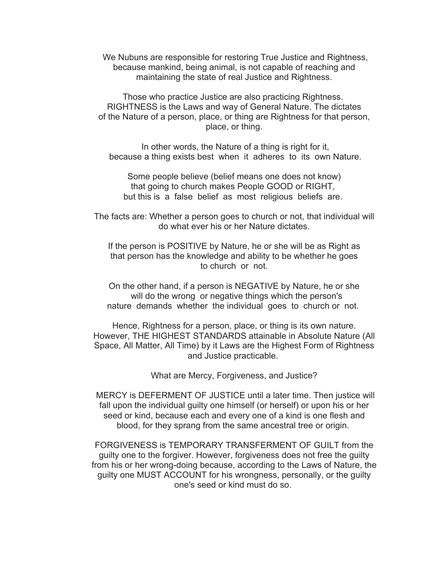We Nubuns are responsible for restoring True Justice and Rightness, because mankind, being animal, is not capable of reaching and maintaining the state of real Justice and Rightness.

Those who practice Justice are also practicing Rightness. RIGHTNESS is the Laws and way of General Nature. The dictates of the Nature of a person, place, or thing are Rightness for that person, place, or thing.

In other words, the Nature of a thing is right for it, because a thing exists best when it adheres to its own Nature.

Some people believe (belief means one does not know) that going to church makes People GOOD or RIGHT, but this is a false belief as most religious beliefs are.

The facts are: Whether a person goes to church or not, that individual will do what ever his or her Nature dictates.

If the person is POSITIVE by Nature, he or she will be as Right as that person has the knowledge and ability to be whether he goes to church or not.

On the other hand, if a person is NEGATIVE by Nature, he or she will do the wrong or negative things which the person's nature demands whether the individual goes to church or not.

Hence, Rightness for a person, place, or thing is its own nature. However, THE HIGHEST STANDARDS attainable in Absolute Nature (All Space, All Matter, All Time) by it Laws are the Highest Form of Rightness and Justice practicable.

What are Mercy, Forgiveness, and Justice?

MERCY is DEFERMENT OF JUSTICE until a later time. Then justice will fall upon the individual guilty one himself (or herself) or upon his or her seed or kind, because each and every one of a kind is one flesh and blood, for they sprang from the same ancestral tree or origin.

FORGIVENESS is TEMPORARY TRANSFERMENT OF GUILT from the guilty one to the forgiver. However, forgiveness does not free the guilty from his or her wrong-doing because, according to the Laws of Nature, the guilty one MUST ACCOUNT for his wrongness, personally, or the guilty one's seed or kind must do so.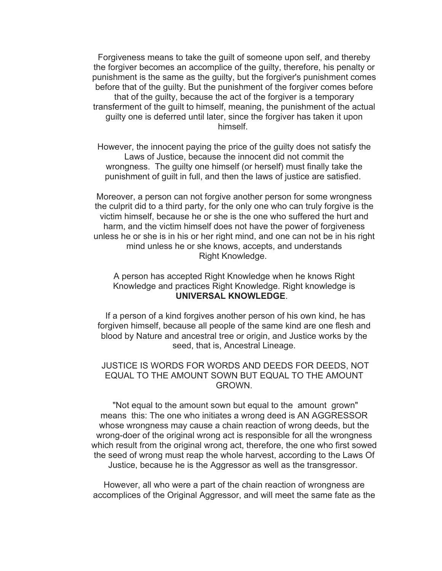Forgiveness means to take the guilt of someone upon self, and thereby the forgiver becomes an accomplice of the guilty, therefore, his penalty or punishment is the same as the guilty, but the forgiver's punishment comes before that of the guilty. But the punishment of the forgiver comes before that of the guilty, because the act of the forgiver is a temporary transferment of the guilt to himself, meaning, the punishment of the actual guilty one is deferred until later, since the forgiver has taken it upon himself.

However, the innocent paying the price of the guilty does not satisfy the Laws of Justice, because the innocent did not commit the wrongness. The guilty one himself (or herself) must finally take the punishment of guilt in full, and then the laws of justice are satisfied.

Moreover, a person can not forgive another person for some wrongness the culprit did to a third party, for the only one who can truly forgive is the victim himself, because he or she is the one who suffered the hurt and harm, and the victim himself does not have the power of forgiveness unless he or she is in his or her right mind, and one can not be in his right mind unless he or she knows, accepts, and understands Right Knowledge.

A person has accepted Right Knowledge when he knows Right Knowledge and practices Right Knowledge. Right knowledge is **UNIVERSAL KNOWLEDGE**.

If a person of a kind forgives another person of his own kind, he has forgiven himself, because all people of the same kind are one flesh and blood by Nature and ancestral tree or origin, and Justice works by the seed, that is, Ancestral Lineage.

## JUSTICE IS WORDS FOR WORDS AND DEEDS FOR DEEDS, NOT EQUAL TO THE AMOUNT SOWN BUT EQUAL TO THE AMOUNT GROWN.

"Not equal to the amount sown but equal to the amount grown" means this: The one who initiates a wrong deed is AN AGGRESSOR whose wrongness may cause a chain reaction of wrong deeds, but the wrong-doer of the original wrong act is responsible for all the wrongness which result from the original wrong act, therefore, the one who first sowed the seed of wrong must reap the whole harvest, according to the Laws Of Justice, because he is the Aggressor as well as the transgressor.

However, all who were a part of the chain reaction of wrongness are accomplices of the Original Aggressor, and will meet the same fate as the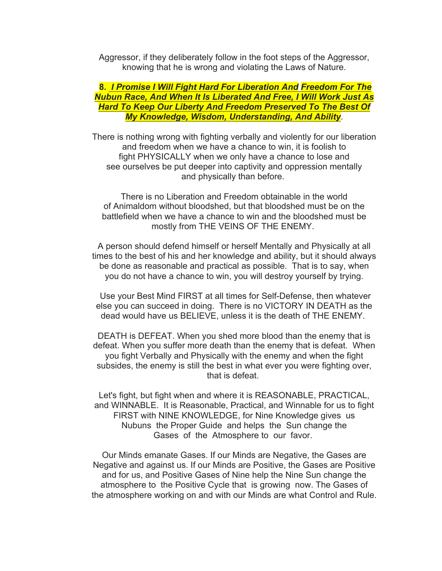Aggressor, if they deliberately follow in the foot steps of the Aggressor, knowing that he is wrong and violating the Laws of Nature.

## **8.** *I Promise I Will Fight Hard For Liberation And Freedom For The Nubun Race, And When It Is Liberated And Free, I Will Work Just As Hard To Keep Our Liberty And Freedom Preserved To The Best Of My Knowledge, Wisdom, Understanding, And Ability*.

There is nothing wrong with fighting verbally and violently for our liberation and freedom when we have a chance to win, it is foolish to fight PHYSICALLY when we only have a chance to lose and see ourselves be put deeper into captivity and oppression mentally and physically than before.

There is no Liberation and Freedom obtainable in the world of Animaldom without bloodshed, but that bloodshed must be on the battlefield when we have a chance to win and the bloodshed must be mostly from THE VEINS OF THE ENEMY.

A person should defend himself or herself Mentally and Physically at all times to the best of his and her knowledge and ability, but it should always be done as reasonable and practical as possible. That is to say, when you do not have a chance to win, you will destroy yourself by trying.

Use your Best Mind FIRST at all times for Self-Defense, then whatever else you can succeed in doing. There is no VICTORY IN DEATH as the dead would have us BELIEVE, unless it is the death of THE ENEMY.

DEATH is DEFEAT. When you shed more blood than the enemy that is defeat. When you suffer more death than the enemy that is defeat. When you fight Verbally and Physically with the enemy and when the fight subsides, the enemy is still the best in what ever you were fighting over, that is defeat.

Let's fight, but fight when and where it is REASONABLE, PRACTICAL, and WINNABLE. It is Reasonable, Practical, and Winnable for us to fight FIRST with NINE KNOWLEDGE, for Nine Knowledge gives us Nubuns the Proper Guide and helps the Sun change the Gases of the Atmosphere to our favor.

Our Minds emanate Gases. If our Minds are Negative, the Gases are Negative and against us. If our Minds are Positive, the Gases are Positive and for us, and Positive Gases of Nine help the Nine Sun change the atmosphere to the Positive Cycle that is growing now. The Gases of the atmosphere working on and with our Minds are what Control and Rule.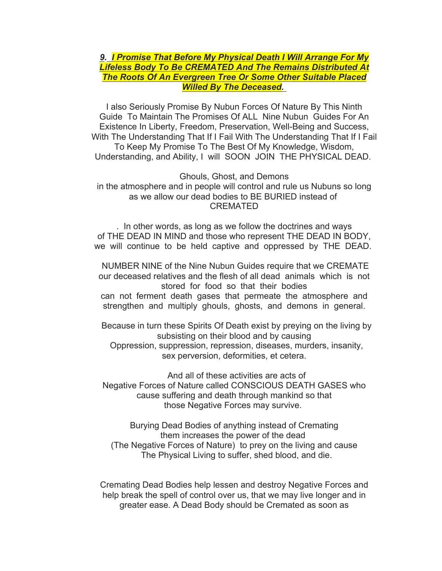# *9. I Promise That Before My Physical Death I Will Arrange For My Lifeless Body To Be CREMATED And The Remains Distributed At The Roots Of An Evergreen Tree Or Some Other Suitable Placed Willed By The Deceased.*

I also Seriously Promise By Nubun Forces Of Nature By This Ninth Guide To Maintain The Promises Of ALL Nine Nubun Guides For An Existence In Liberty, Freedom, Preservation, Well-Being and Success, With The Understanding That If I Fail With The Understanding That If I Fail To Keep My Promise To The Best Of My Knowledge, Wisdom, Understanding, and Ability, I will SOON JOIN THE PHYSICAL DEAD.

Ghouls, Ghost, and Demons in the atmosphere and in people will control and rule us Nubuns so long as we allow our dead bodies to BE BURIED instead of CREMATED

. In other words, as long as we follow the doctrines and ways of THE DEAD IN MIND and those who represent THE DEAD IN BODY, we will continue to be held captive and oppressed by THE DEAD.

NUMBER NINE of the Nine Nubun Guides require that we CREMATE our deceased relatives and the flesh of all dead animals which is not stored for food so that their bodies can not ferment death gases that permeate the atmosphere and strengthen and multiply ghouls, ghosts, and demons in general.

Because in turn these Spirits Of Death exist by preying on the living by subsisting on their blood and by causing Oppression, suppression, repression, diseases, murders, insanity, sex perversion, deformities, et cetera.

And all of these activities are acts of Negative Forces of Nature called CONSCIOUS DEATH GASES who cause suffering and death through mankind so that those Negative Forces may survive.

Burying Dead Bodies of anything instead of Cremating them increases the power of the dead (The Negative Forces of Nature) to prey on the living and cause The Physical Living to suffer, shed blood, and die.

Cremating Dead Bodies help lessen and destroy Negative Forces and help break the spell of control over us, that we may live longer and in greater ease. A Dead Body should be Cremated as soon as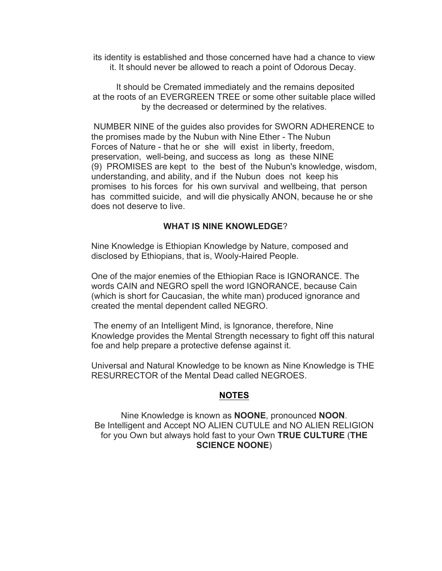its identity is established and those concerned have had a chance to view it. It should never be allowed to reach a point of Odorous Decay.

It should be Cremated immediately and the remains deposited at the roots of an EVERGREEN TREE or some other suitable place willed by the decreased or determined by the relatives.

NUMBER NINE of the guides also provides for SWORN ADHERENCE to the promises made by the Nubun with Nine Ether - The Nubun Forces of Nature - that he or she will exist in liberty, freedom, preservation, well-being, and success as long as these NINE (9) PROMISES are kept to the best of the Nubun's knowledge, wisdom, understanding, and ability, and if the Nubun does not keep his promises to his forces for his own survival and wellbeing, that person has committed suicide, and will die physically ANON, because he or she does not deserve to live.

## **WHAT IS NINE KNOWLEDGE**?

Nine Knowledge is Ethiopian Knowledge by Nature, composed and disclosed by Ethiopians, that is, Wooly-Haired People.

One of the major enemies of the Ethiopian Race is IGNORANCE. The words CAIN and NEGRO spell the word IGNORANCE, because Cain (which is short for Caucasian, the white man) produced ignorance and created the mental dependent called NEGRO.

The enemy of an Intelligent Mind, is Ignorance, therefore, Nine Knowledge provides the Mental Strength necessary to fight off this natural foe and help prepare a protective defense against it.

Universal and Natural Knowledge to be known as Nine Knowledge is THE RESURRECTOR of the Mental Dead called NEGROES.

#### **NOTES**

Nine Knowledge is known as **NOONE**, pronounced **NOON**. Be Intelligent and Accept NO ALIEN CUTULE and NO ALIEN RELIGION for you Own but always hold fast to your Own **TRUE CULTURE** (**THE SCIENCE NOONE**)